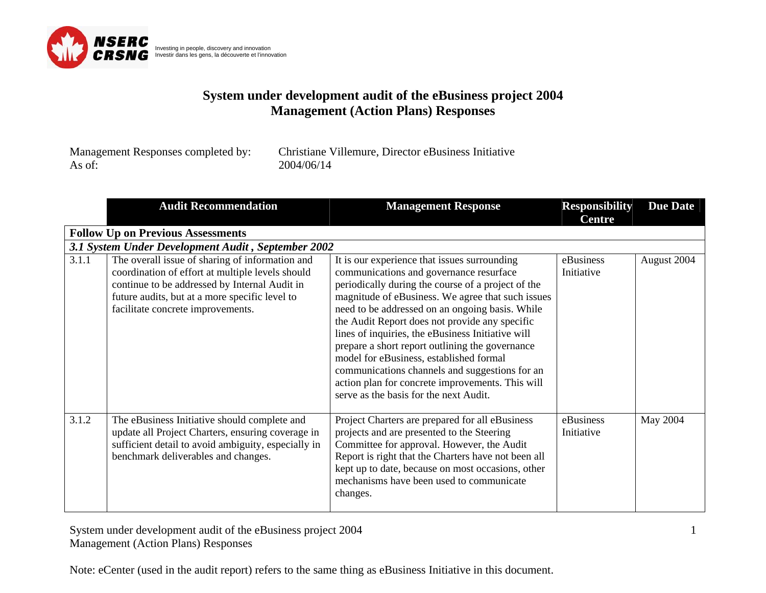

| Management Responses completed by: | Christiane Villemure, Director eBusiness Initiative |
|------------------------------------|-----------------------------------------------------|
| As of:                             | 2004/06/14                                          |

|       | <b>Audit Recommendation</b>                                                                                                                                                                                                                 | <b>Management Response</b>                                                                                                                                                                                                                                                                                                                                                                                                                                                                                                                                                                                 | <b>Responsibility</b><br><b>Centre</b> | <b>Due Date</b> |
|-------|---------------------------------------------------------------------------------------------------------------------------------------------------------------------------------------------------------------------------------------------|------------------------------------------------------------------------------------------------------------------------------------------------------------------------------------------------------------------------------------------------------------------------------------------------------------------------------------------------------------------------------------------------------------------------------------------------------------------------------------------------------------------------------------------------------------------------------------------------------------|----------------------------------------|-----------------|
|       | <b>Follow Up on Previous Assessments</b>                                                                                                                                                                                                    |                                                                                                                                                                                                                                                                                                                                                                                                                                                                                                                                                                                                            |                                        |                 |
|       | 3.1 System Under Development Audit, September 2002                                                                                                                                                                                          |                                                                                                                                                                                                                                                                                                                                                                                                                                                                                                                                                                                                            |                                        |                 |
| 3.1.1 | The overall issue of sharing of information and<br>coordination of effort at multiple levels should<br>continue to be addressed by Internal Audit in<br>future audits, but at a more specific level to<br>facilitate concrete improvements. | It is our experience that issues surrounding<br>communications and governance resurface<br>periodically during the course of a project of the<br>magnitude of eBusiness. We agree that such issues<br>need to be addressed on an ongoing basis. While<br>the Audit Report does not provide any specific<br>lines of inquiries, the eBusiness Initiative will<br>prepare a short report outlining the governance<br>model for eBusiness, established formal<br>communications channels and suggestions for an<br>action plan for concrete improvements. This will<br>serve as the basis for the next Audit. | eBusiness<br>Initiative                | August 2004     |
| 3.1.2 | The eBusiness Initiative should complete and<br>update all Project Charters, ensuring coverage in<br>sufficient detail to avoid ambiguity, especially in<br>benchmark deliverables and changes.                                             | Project Charters are prepared for all eBusiness<br>projects and are presented to the Steering<br>Committee for approval. However, the Audit<br>Report is right that the Charters have not been all<br>kept up to date, because on most occasions, other<br>mechanisms have been used to communicate<br>changes.                                                                                                                                                                                                                                                                                            | eBusiness<br>Initiative                | May 2004        |

System under development audit of the eBusiness project 2004 Management (Action Plans) Responses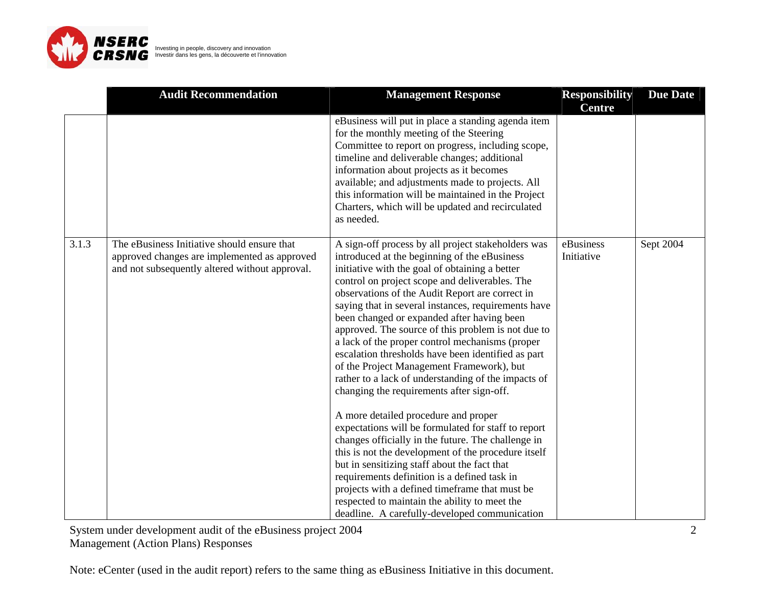

|       | <b>Audit Recommendation</b>                                                                                                                   | <b>Management Response</b>                                                                                                                                                                                                                                                                                                                                                                                                                                                                                                                                                                                                                                                                                                                                                                                                                                                                                                                                                                                                                                                                                                                     | <b>Responsibility</b><br><b>Centre</b> | <b>Due Date</b> |
|-------|-----------------------------------------------------------------------------------------------------------------------------------------------|------------------------------------------------------------------------------------------------------------------------------------------------------------------------------------------------------------------------------------------------------------------------------------------------------------------------------------------------------------------------------------------------------------------------------------------------------------------------------------------------------------------------------------------------------------------------------------------------------------------------------------------------------------------------------------------------------------------------------------------------------------------------------------------------------------------------------------------------------------------------------------------------------------------------------------------------------------------------------------------------------------------------------------------------------------------------------------------------------------------------------------------------|----------------------------------------|-----------------|
|       |                                                                                                                                               | eBusiness will put in place a standing agenda item<br>for the monthly meeting of the Steering<br>Committee to report on progress, including scope,<br>timeline and deliverable changes; additional<br>information about projects as it becomes<br>available; and adjustments made to projects. All<br>this information will be maintained in the Project<br>Charters, which will be updated and recirculated<br>as needed.                                                                                                                                                                                                                                                                                                                                                                                                                                                                                                                                                                                                                                                                                                                     |                                        |                 |
| 3.1.3 | The eBusiness Initiative should ensure that<br>approved changes are implemented as approved<br>and not subsequently altered without approval. | A sign-off process by all project stakeholders was<br>introduced at the beginning of the eBusiness<br>initiative with the goal of obtaining a better<br>control on project scope and deliverables. The<br>observations of the Audit Report are correct in<br>saying that in several instances, requirements have<br>been changed or expanded after having been<br>approved. The source of this problem is not due to<br>a lack of the proper control mechanisms (proper<br>escalation thresholds have been identified as part<br>of the Project Management Framework), but<br>rather to a lack of understanding of the impacts of<br>changing the requirements after sign-off.<br>A more detailed procedure and proper<br>expectations will be formulated for staff to report<br>changes officially in the future. The challenge in<br>this is not the development of the procedure itself<br>but in sensitizing staff about the fact that<br>requirements definition is a defined task in<br>projects with a defined timeframe that must be<br>respected to maintain the ability to meet the<br>deadline. A carefully-developed communication | eBusiness<br>Initiative                | Sept 2004       |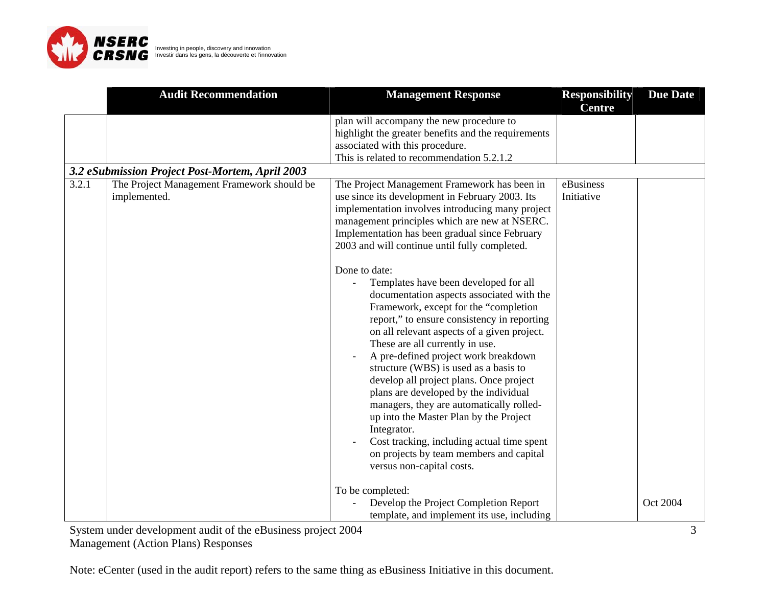

|       | <b>Audit Recommendation</b>                                | <b>Management Response</b>                                                                                                                                                                                                                                                                                                                                                                                                                                                                                                                                                                                                                                   | <b>Responsibility</b>   | <b>Due Date</b> |
|-------|------------------------------------------------------------|--------------------------------------------------------------------------------------------------------------------------------------------------------------------------------------------------------------------------------------------------------------------------------------------------------------------------------------------------------------------------------------------------------------------------------------------------------------------------------------------------------------------------------------------------------------------------------------------------------------------------------------------------------------|-------------------------|-----------------|
|       |                                                            |                                                                                                                                                                                                                                                                                                                                                                                                                                                                                                                                                                                                                                                              | <b>Centre</b>           |                 |
|       |                                                            | plan will accompany the new procedure to<br>highlight the greater benefits and the requirements<br>associated with this procedure.<br>This is related to recommendation 5.2.1.2                                                                                                                                                                                                                                                                                                                                                                                                                                                                              |                         |                 |
|       | 3.2 eSubmission Project Post-Mortem, April 2003            |                                                                                                                                                                                                                                                                                                                                                                                                                                                                                                                                                                                                                                                              |                         |                 |
| 3.2.1 | The Project Management Framework should be<br>implemented. | The Project Management Framework has been in<br>use since its development in February 2003. Its<br>implementation involves introducing many project<br>management principles which are new at NSERC.<br>Implementation has been gradual since February<br>2003 and will continue until fully completed.<br>Done to date:                                                                                                                                                                                                                                                                                                                                     | eBusiness<br>Initiative |                 |
|       |                                                            | Templates have been developed for all<br>documentation aspects associated with the<br>Framework, except for the "completion<br>report," to ensure consistency in reporting<br>on all relevant aspects of a given project.<br>These are all currently in use.<br>A pre-defined project work breakdown<br>structure (WBS) is used as a basis to<br>develop all project plans. Once project<br>plans are developed by the individual<br>managers, they are automatically rolled-<br>up into the Master Plan by the Project<br>Integrator.<br>Cost tracking, including actual time spent<br>on projects by team members and capital<br>versus non-capital costs. |                         |                 |
|       |                                                            | To be completed:<br>Develop the Project Completion Report<br>template, and implement its use, including                                                                                                                                                                                                                                                                                                                                                                                                                                                                                                                                                      |                         | Oct 2004        |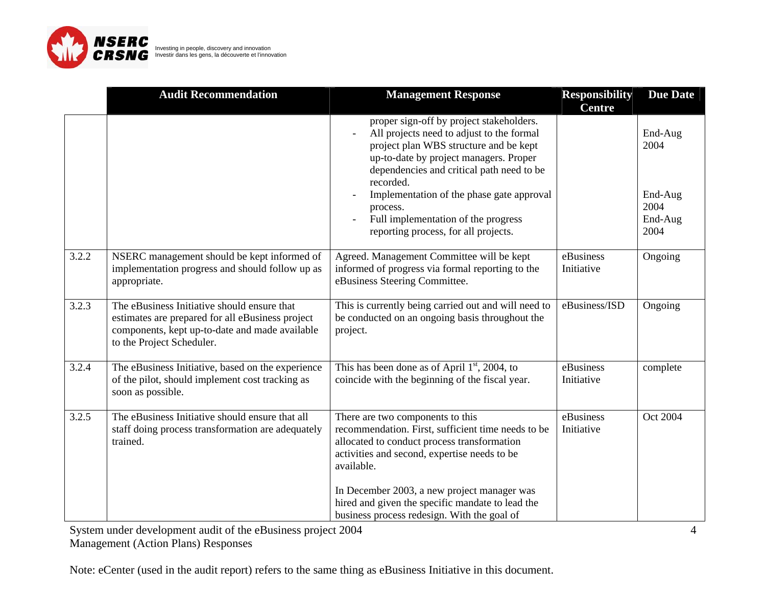

|       | <b>Audit Recommendation</b>                                                                                                                                                    | <b>Management Response</b>                                                                                                                                                                                                                                                                                                                                                  | <b>Responsibility</b><br><b>Centre</b> | <b>Due Date</b>                                       |
|-------|--------------------------------------------------------------------------------------------------------------------------------------------------------------------------------|-----------------------------------------------------------------------------------------------------------------------------------------------------------------------------------------------------------------------------------------------------------------------------------------------------------------------------------------------------------------------------|----------------------------------------|-------------------------------------------------------|
|       |                                                                                                                                                                                | proper sign-off by project stakeholders.<br>All projects need to adjust to the formal<br>project plan WBS structure and be kept<br>up-to-date by project managers. Proper<br>dependencies and critical path need to be<br>recorded.<br>Implementation of the phase gate approval<br>process.<br>Full implementation of the progress<br>reporting process, for all projects. |                                        | End-Aug<br>2004<br>End-Aug<br>2004<br>End-Aug<br>2004 |
| 3.2.2 | NSERC management should be kept informed of<br>implementation progress and should follow up as<br>appropriate.                                                                 | Agreed. Management Committee will be kept<br>informed of progress via formal reporting to the<br>eBusiness Steering Committee.                                                                                                                                                                                                                                              | eBusiness<br>Initiative                | Ongoing                                               |
| 3.2.3 | The eBusiness Initiative should ensure that<br>estimates are prepared for all eBusiness project<br>components, kept up-to-date and made available<br>to the Project Scheduler. | This is currently being carried out and will need to<br>be conducted on an ongoing basis throughout the<br>project.                                                                                                                                                                                                                                                         | eBusiness/ISD                          | Ongoing                                               |
| 3.2.4 | The eBusiness Initiative, based on the experience<br>of the pilot, should implement cost tracking as<br>soon as possible.                                                      | This has been done as of April $1st$ , 2004, to<br>coincide with the beginning of the fiscal year.                                                                                                                                                                                                                                                                          | eBusiness<br>Initiative                | complete                                              |
| 3.2.5 | The eBusiness Initiative should ensure that all<br>staff doing process transformation are adequately<br>trained.                                                               | There are two components to this<br>recommendation. First, sufficient time needs to be<br>allocated to conduct process transformation<br>activities and second, expertise needs to be<br>available.<br>In December 2003, a new project manager was<br>hired and given the specific mandate to lead the<br>business process redesign. With the goal of                       | eBusiness<br>Initiative                | Oct 2004                                              |

System under development audit of the eBusiness project 2004

Management (Action Plans) Responses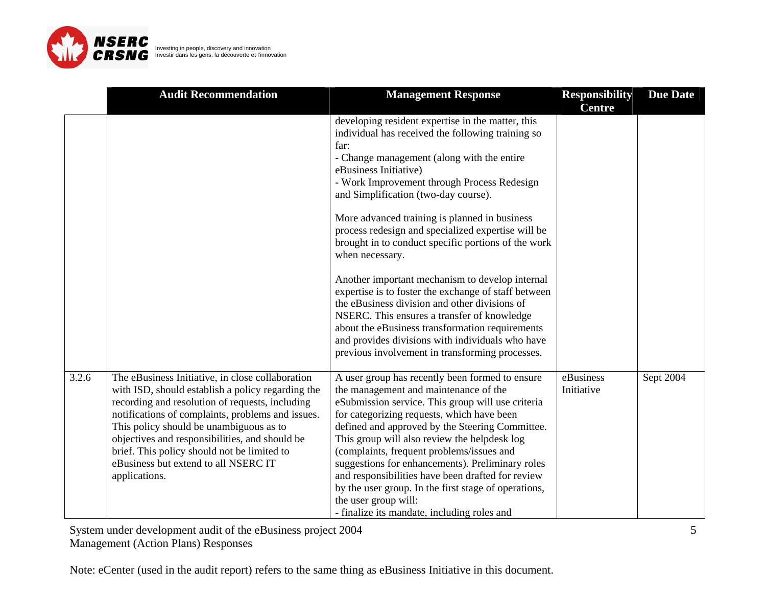

|       | <b>Audit Recommendation</b>                                                                                                                                                                                                                                                                                                                                                                                        | <b>Management Response</b>                                                                                                                                                                                                                                                                                                                                                                                                                                                                                                                                                                                                                                                                                                                                                                                                         | <b>Responsibility</b><br><b>Centre</b> | <b>Due Date</b> |
|-------|--------------------------------------------------------------------------------------------------------------------------------------------------------------------------------------------------------------------------------------------------------------------------------------------------------------------------------------------------------------------------------------------------------------------|------------------------------------------------------------------------------------------------------------------------------------------------------------------------------------------------------------------------------------------------------------------------------------------------------------------------------------------------------------------------------------------------------------------------------------------------------------------------------------------------------------------------------------------------------------------------------------------------------------------------------------------------------------------------------------------------------------------------------------------------------------------------------------------------------------------------------------|----------------------------------------|-----------------|
|       |                                                                                                                                                                                                                                                                                                                                                                                                                    | developing resident expertise in the matter, this<br>individual has received the following training so<br>far:<br>- Change management (along with the entire<br>eBusiness Initiative)<br>- Work Improvement through Process Redesign<br>and Simplification (two-day course).<br>More advanced training is planned in business<br>process redesign and specialized expertise will be<br>brought in to conduct specific portions of the work<br>when necessary.<br>Another important mechanism to develop internal<br>expertise is to foster the exchange of staff between<br>the eBusiness division and other divisions of<br>NSERC. This ensures a transfer of knowledge<br>about the eBusiness transformation requirements<br>and provides divisions with individuals who have<br>previous involvement in transforming processes. |                                        |                 |
| 3.2.6 | The eBusiness Initiative, in close collaboration<br>with ISD, should establish a policy regarding the<br>recording and resolution of requests, including<br>notifications of complaints, problems and issues.<br>This policy should be unambiguous as to<br>objectives and responsibilities, and should be<br>brief. This policy should not be limited to<br>eBusiness but extend to all NSERC IT<br>applications. | A user group has recently been formed to ensure<br>the management and maintenance of the<br>eSubmission service. This group will use criteria<br>for categorizing requests, which have been<br>defined and approved by the Steering Committee.<br>This group will also review the helpdesk log<br>(complaints, frequent problems/issues and<br>suggestions for enhancements). Preliminary roles<br>and responsibilities have been drafted for review<br>by the user group. In the first stage of operations,<br>the user group will:<br>- finalize its mandate, including roles and                                                                                                                                                                                                                                                | eBusiness<br>Initiative                | Sept 2004       |

System under development audit of the eBusiness project 2004

Management (Action Plans) Responses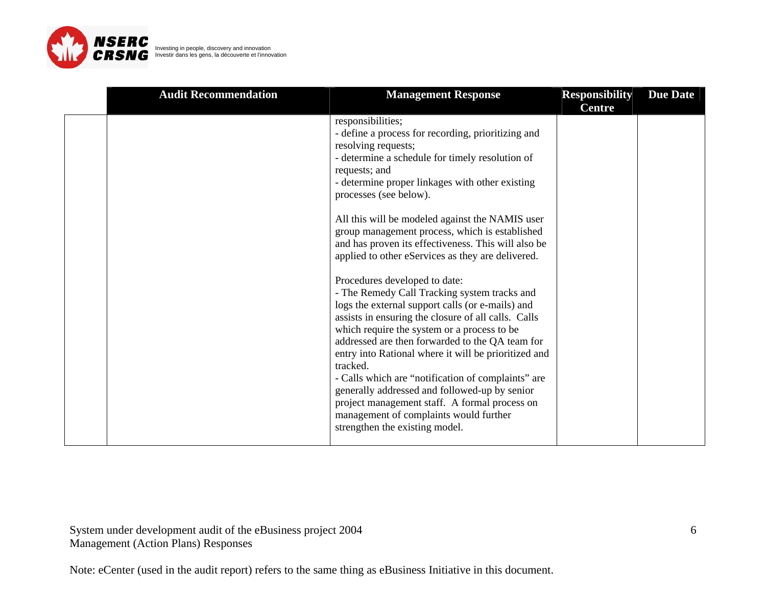

| <b>Audit Recommendation</b> | <b>Management Response</b>                                                                                                                                                                                                                                                                                                                                                                                                                                                                                                                                                                                                                                                                                                                                                                                                                                                                                                                                                                                                                                             | <b>Responsibility</b> | <b>Due Date</b> |
|-----------------------------|------------------------------------------------------------------------------------------------------------------------------------------------------------------------------------------------------------------------------------------------------------------------------------------------------------------------------------------------------------------------------------------------------------------------------------------------------------------------------------------------------------------------------------------------------------------------------------------------------------------------------------------------------------------------------------------------------------------------------------------------------------------------------------------------------------------------------------------------------------------------------------------------------------------------------------------------------------------------------------------------------------------------------------------------------------------------|-----------------------|-----------------|
|                             | responsibilities;<br>- define a process for recording, prioritizing and<br>resolving requests;<br>- determine a schedule for timely resolution of<br>requests; and<br>- determine proper linkages with other existing<br>processes (see below).<br>All this will be modeled against the NAMIS user<br>group management process, which is established<br>and has proven its effectiveness. This will also be<br>applied to other eServices as they are delivered.<br>Procedures developed to date:<br>- The Remedy Call Tracking system tracks and<br>logs the external support calls (or e-mails) and<br>assists in ensuring the closure of all calls. Calls<br>which require the system or a process to be<br>addressed are then forwarded to the QA team for<br>entry into Rational where it will be prioritized and<br>tracked.<br>- Calls which are "notification of complaints" are<br>generally addressed and followed-up by senior<br>project management staff. A formal process on<br>management of complaints would further<br>strengthen the existing model. | <b>Centre</b>         |                 |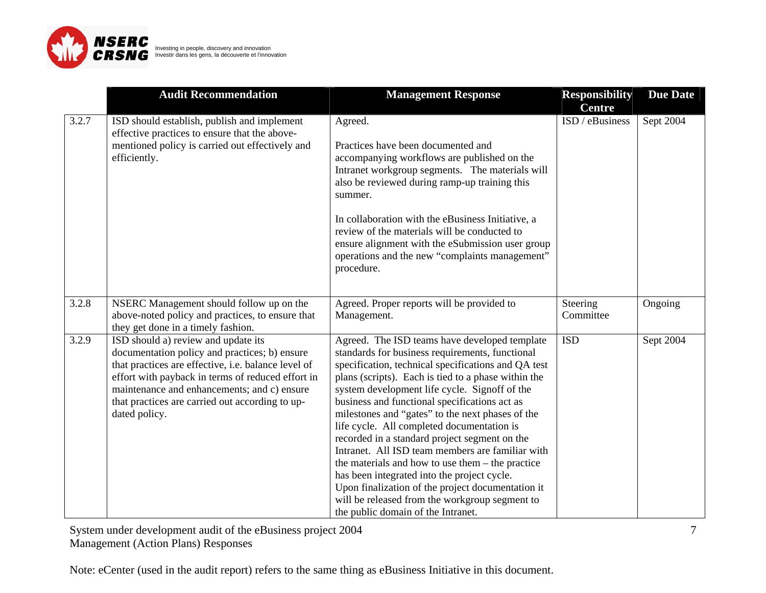

|       | <b>Audit Recommendation</b>                                                                                                                                                                                                                                                                                         | <b>Management Response</b>                                                                                                                                                                                                                                                                                                                                                                                                                                                                                                                                                                                                                                                                                                                                              | <b>Responsibility</b>            | <b>Due Date</b> |
|-------|---------------------------------------------------------------------------------------------------------------------------------------------------------------------------------------------------------------------------------------------------------------------------------------------------------------------|-------------------------------------------------------------------------------------------------------------------------------------------------------------------------------------------------------------------------------------------------------------------------------------------------------------------------------------------------------------------------------------------------------------------------------------------------------------------------------------------------------------------------------------------------------------------------------------------------------------------------------------------------------------------------------------------------------------------------------------------------------------------------|----------------------------------|-----------------|
| 3.2.7 | ISD should establish, publish and implement<br>effective practices to ensure that the above-<br>mentioned policy is carried out effectively and<br>efficiently.                                                                                                                                                     | Agreed.<br>Practices have been documented and<br>accompanying workflows are published on the<br>Intranet workgroup segments. The materials will<br>also be reviewed during ramp-up training this<br>summer.<br>In collaboration with the eBusiness Initiative, a<br>review of the materials will be conducted to<br>ensure alignment with the eSubmission user group<br>operations and the new "complaints management"<br>procedure.                                                                                                                                                                                                                                                                                                                                    | <b>Centre</b><br>ISD / eBusiness | Sept 2004       |
| 3.2.8 | NSERC Management should follow up on the<br>above-noted policy and practices, to ensure that<br>they get done in a timely fashion.                                                                                                                                                                                  | Agreed. Proper reports will be provided to<br>Management.                                                                                                                                                                                                                                                                                                                                                                                                                                                                                                                                                                                                                                                                                                               | Steering<br>Committee            | Ongoing         |
| 3.2.9 | ISD should a) review and update its<br>documentation policy and practices; b) ensure<br>that practices are effective, i.e. balance level of<br>effort with payback in terms of reduced effort in<br>maintenance and enhancements; and c) ensure<br>that practices are carried out according to up-<br>dated policy. | Agreed. The ISD teams have developed template<br>standards for business requirements, functional<br>specification, technical specifications and QA test<br>plans (scripts). Each is tied to a phase within the<br>system development life cycle. Signoff of the<br>business and functional specifications act as<br>milestones and "gates" to the next phases of the<br>life cycle. All completed documentation is<br>recorded in a standard project segment on the<br>Intranet. All ISD team members are familiar with<br>the materials and how to use them – the practice<br>has been integrated into the project cycle.<br>Upon finalization of the project documentation it<br>will be released from the workgroup segment to<br>the public domain of the Intranet. | <b>ISD</b>                       | Sept 2004       |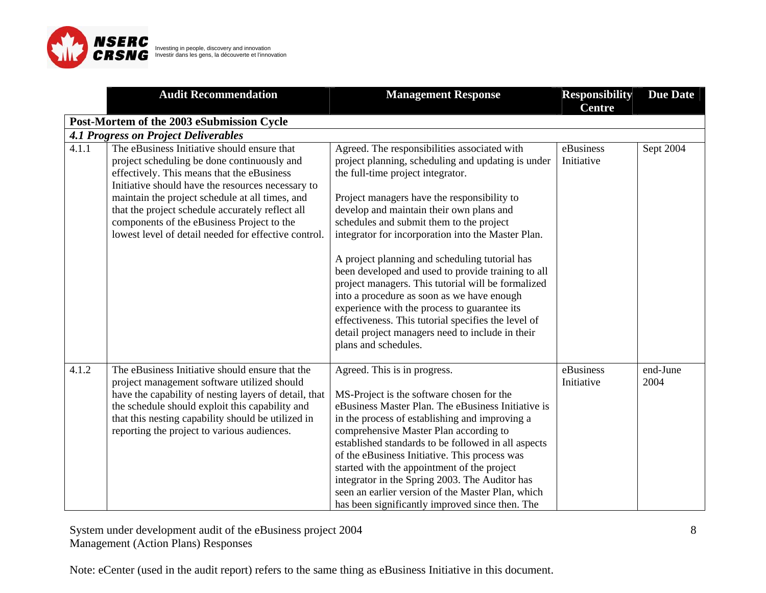

|       | <b>Audit Recommendation</b>                                                                                                                                                                                                                                                                                                                                                                                | <b>Management Response</b>                                                                                                                                                                                                                                                                                                                                                                                                                                                                                                                                                                                                                                                                                                          | <b>Responsibility</b><br><b>Centre</b> | <b>Due Date</b>  |
|-------|------------------------------------------------------------------------------------------------------------------------------------------------------------------------------------------------------------------------------------------------------------------------------------------------------------------------------------------------------------------------------------------------------------|-------------------------------------------------------------------------------------------------------------------------------------------------------------------------------------------------------------------------------------------------------------------------------------------------------------------------------------------------------------------------------------------------------------------------------------------------------------------------------------------------------------------------------------------------------------------------------------------------------------------------------------------------------------------------------------------------------------------------------------|----------------------------------------|------------------|
|       | Post-Mortem of the 2003 eSubmission Cycle                                                                                                                                                                                                                                                                                                                                                                  |                                                                                                                                                                                                                                                                                                                                                                                                                                                                                                                                                                                                                                                                                                                                     |                                        |                  |
|       | <b>4.1 Progress on Project Deliverables</b>                                                                                                                                                                                                                                                                                                                                                                |                                                                                                                                                                                                                                                                                                                                                                                                                                                                                                                                                                                                                                                                                                                                     |                                        |                  |
| 4.1.1 | The eBusiness Initiative should ensure that<br>project scheduling be done continuously and<br>effectively. This means that the eBusiness<br>Initiative should have the resources necessary to<br>maintain the project schedule at all times, and<br>that the project schedule accurately reflect all<br>components of the eBusiness Project to the<br>lowest level of detail needed for effective control. | Agreed. The responsibilities associated with<br>project planning, scheduling and updating is under<br>the full-time project integrator.<br>Project managers have the responsibility to<br>develop and maintain their own plans and<br>schedules and submit them to the project<br>integrator for incorporation into the Master Plan.<br>A project planning and scheduling tutorial has<br>been developed and used to provide training to all<br>project managers. This tutorial will be formalized<br>into a procedure as soon as we have enough<br>experience with the process to guarantee its<br>effectiveness. This tutorial specifies the level of<br>detail project managers need to include in their<br>plans and schedules. | eBusiness<br>Initiative                | Sept 2004        |
| 4.1.2 | The eBusiness Initiative should ensure that the<br>project management software utilized should<br>have the capability of nesting layers of detail, that<br>the schedule should exploit this capability and<br>that this nesting capability should be utilized in<br>reporting the project to various audiences.                                                                                            | Agreed. This is in progress.<br>MS-Project is the software chosen for the<br>eBusiness Master Plan. The eBusiness Initiative is<br>in the process of establishing and improving a<br>comprehensive Master Plan according to<br>established standards to be followed in all aspects<br>of the eBusiness Initiative. This process was<br>started with the appointment of the project<br>integrator in the Spring 2003. The Auditor has<br>seen an earlier version of the Master Plan, which<br>has been significantly improved since then. The                                                                                                                                                                                        | eBusiness<br>Initiative                | end-June<br>2004 |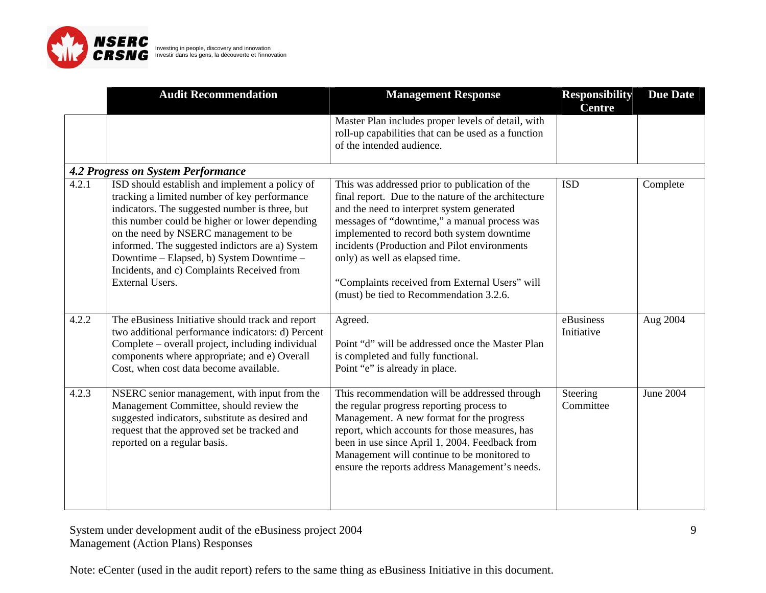

|       | <b>Audit Recommendation</b>                                                                                                                                                                                                                                                                                                                                                                                        | <b>Management Response</b>                                                                                                                                                                                                                                                                                                                                                                                                        | <b>Responsibility</b><br><b>Centre</b> | <b>Due Date</b> |
|-------|--------------------------------------------------------------------------------------------------------------------------------------------------------------------------------------------------------------------------------------------------------------------------------------------------------------------------------------------------------------------------------------------------------------------|-----------------------------------------------------------------------------------------------------------------------------------------------------------------------------------------------------------------------------------------------------------------------------------------------------------------------------------------------------------------------------------------------------------------------------------|----------------------------------------|-----------------|
|       |                                                                                                                                                                                                                                                                                                                                                                                                                    | Master Plan includes proper levels of detail, with<br>roll-up capabilities that can be used as a function<br>of the intended audience.                                                                                                                                                                                                                                                                                            |                                        |                 |
|       | <b>4.2 Progress on System Performance</b>                                                                                                                                                                                                                                                                                                                                                                          |                                                                                                                                                                                                                                                                                                                                                                                                                                   |                                        |                 |
| 4.2.1 | ISD should establish and implement a policy of<br>tracking a limited number of key performance<br>indicators. The suggested number is three, but<br>this number could be higher or lower depending<br>on the need by NSERC management to be<br>informed. The suggested indictors are a) System<br>Downtime – Elapsed, b) System Downtime –<br>Incidents, and c) Complaints Received from<br><b>External Users.</b> | This was addressed prior to publication of the<br>final report. Due to the nature of the architecture<br>and the need to interpret system generated<br>messages of "downtime," a manual process was<br>implemented to record both system downtime<br>incidents (Production and Pilot environments)<br>only) as well as elapsed time.<br>"Complaints received from External Users" will<br>(must) be tied to Recommendation 3.2.6. | <b>ISD</b>                             | Complete        |
| 4.2.2 | The eBusiness Initiative should track and report<br>two additional performance indicators: d) Percent<br>Complete – overall project, including individual<br>components where appropriate; and e) Overall<br>Cost, when cost data become available.                                                                                                                                                                | Agreed.<br>Point "d" will be addressed once the Master Plan<br>is completed and fully functional.<br>Point "e" is already in place.                                                                                                                                                                                                                                                                                               | eBusiness<br>Initiative                | Aug 2004        |
| 4.2.3 | NSERC senior management, with input from the<br>Management Committee, should review the<br>suggested indicators, substitute as desired and<br>request that the approved set be tracked and<br>reported on a regular basis.                                                                                                                                                                                         | This recommendation will be addressed through<br>the regular progress reporting process to<br>Management. A new format for the progress<br>report, which accounts for those measures, has<br>been in use since April 1, 2004. Feedback from<br>Management will continue to be monitored to<br>ensure the reports address Management's needs.                                                                                      | Steering<br>Committee                  | June 2004       |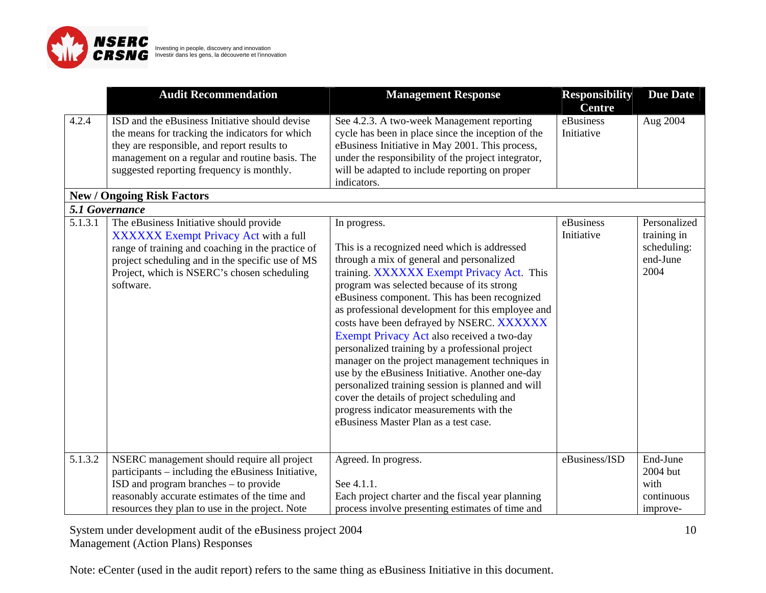

|                      | <b>Audit Recommendation</b>                                                                                                                                                                                                                           | <b>Management Response</b>                                                                                                                                                                                                                                                                                                                                                                                                                                                                                                                                                                                                                                                                                                                               | <b>Responsibility</b><br><b>Centre</b> | <b>Due Date</b>                                                |
|----------------------|-------------------------------------------------------------------------------------------------------------------------------------------------------------------------------------------------------------------------------------------------------|----------------------------------------------------------------------------------------------------------------------------------------------------------------------------------------------------------------------------------------------------------------------------------------------------------------------------------------------------------------------------------------------------------------------------------------------------------------------------------------------------------------------------------------------------------------------------------------------------------------------------------------------------------------------------------------------------------------------------------------------------------|----------------------------------------|----------------------------------------------------------------|
| 4.2.4                | ISD and the eBusiness Initiative should devise<br>the means for tracking the indicators for which<br>they are responsible, and report results to<br>management on a regular and routine basis. The<br>suggested reporting frequency is monthly.       | See 4.2.3. A two-week Management reporting<br>cycle has been in place since the inception of the<br>eBusiness Initiative in May 2001. This process,<br>under the responsibility of the project integrator,<br>will be adapted to include reporting on proper<br>indicators.                                                                                                                                                                                                                                                                                                                                                                                                                                                                              | eBusiness<br>Initiative                | Aug 2004                                                       |
|                      | <b>New / Ongoing Risk Factors</b><br>5.1 Governance                                                                                                                                                                                                   |                                                                                                                                                                                                                                                                                                                                                                                                                                                                                                                                                                                                                                                                                                                                                          |                                        |                                                                |
| $\overline{5}.1.3.1$ | The eBusiness Initiative should provide<br>XXXXXX Exempt Privacy Act with a full<br>range of training and coaching in the practice of<br>project scheduling and in the specific use of MS<br>Project, which is NSERC's chosen scheduling<br>software. | In progress.<br>This is a recognized need which is addressed<br>through a mix of general and personalized<br>training. XXXXXX Exempt Privacy Act. This<br>program was selected because of its strong<br>eBusiness component. This has been recognized<br>as professional development for this employee and<br>costs have been defrayed by NSERC. XXXXXX<br>Exempt Privacy Act also received a two-day<br>personalized training by a professional project<br>manager on the project management techniques in<br>use by the eBusiness Initiative. Another one-day<br>personalized training session is planned and will<br>cover the details of project scheduling and<br>progress indicator measurements with the<br>eBusiness Master Plan as a test case. | eBusiness<br>Initiative                | Personalized<br>training in<br>scheduling:<br>end-June<br>2004 |
| 5.1.3.2              | NSERC management should require all project<br>participants – including the eBusiness Initiative,<br>ISD and program branches – to provide<br>reasonably accurate estimates of the time and<br>resources they plan to use in the project. Note        | Agreed. In progress.<br>See 4.1.1.<br>Each project charter and the fiscal year planning<br>process involve presenting estimates of time and                                                                                                                                                                                                                                                                                                                                                                                                                                                                                                                                                                                                              | eBusiness/ISD                          | End-June<br>2004 but<br>with<br>continuous<br>improve-         |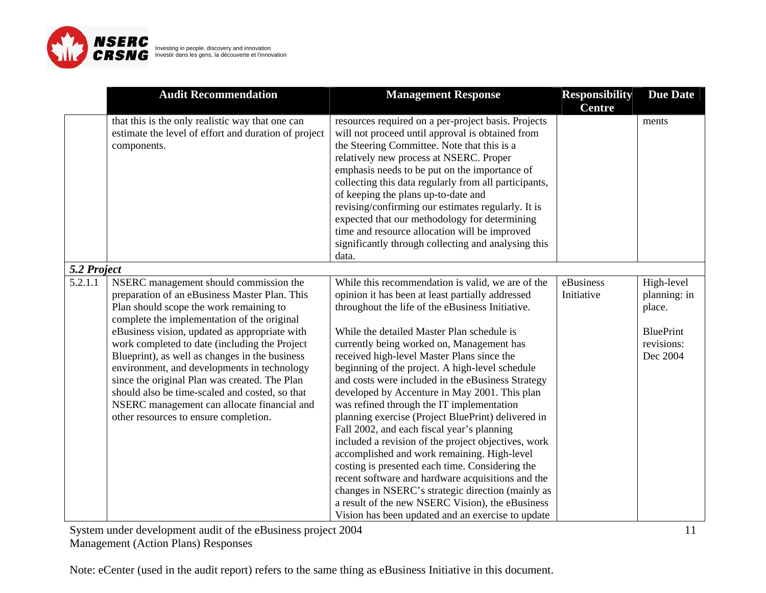

|             | <b>Audit Recommendation</b>                                                                                                                                                                                                                                                                                                                                                                                                                                                                                                                                                     | <b>Management Response</b>                                                                                                                                                                                                                                                                                                                                                                                                                                                                                                                                                                                                                                                                                                                                                                                                                                                                                                                                                               | <b>Responsibility</b><br><b>Centre</b> | <b>Due Date</b>                                                                    |
|-------------|---------------------------------------------------------------------------------------------------------------------------------------------------------------------------------------------------------------------------------------------------------------------------------------------------------------------------------------------------------------------------------------------------------------------------------------------------------------------------------------------------------------------------------------------------------------------------------|------------------------------------------------------------------------------------------------------------------------------------------------------------------------------------------------------------------------------------------------------------------------------------------------------------------------------------------------------------------------------------------------------------------------------------------------------------------------------------------------------------------------------------------------------------------------------------------------------------------------------------------------------------------------------------------------------------------------------------------------------------------------------------------------------------------------------------------------------------------------------------------------------------------------------------------------------------------------------------------|----------------------------------------|------------------------------------------------------------------------------------|
|             | that this is the only realistic way that one can<br>estimate the level of effort and duration of project<br>components.                                                                                                                                                                                                                                                                                                                                                                                                                                                         | resources required on a per-project basis. Projects<br>will not proceed until approval is obtained from<br>the Steering Committee. Note that this is a<br>relatively new process at NSERC. Proper<br>emphasis needs to be put on the importance of<br>collecting this data regularly from all participants,<br>of keeping the plans up-to-date and<br>revising/confirming our estimates regularly. It is<br>expected that our methodology for determining<br>time and resource allocation will be improved<br>significantly through collecting and analysing this<br>data.                                                                                                                                                                                                                                                                                                                                                                                                               |                                        | ments                                                                              |
| 5.2 Project |                                                                                                                                                                                                                                                                                                                                                                                                                                                                                                                                                                                 |                                                                                                                                                                                                                                                                                                                                                                                                                                                                                                                                                                                                                                                                                                                                                                                                                                                                                                                                                                                          |                                        |                                                                                    |
| 5.2.1.1     | NSERC management should commission the<br>preparation of an eBusiness Master Plan. This<br>Plan should scope the work remaining to<br>complete the implementation of the original<br>eBusiness vision, updated as appropriate with<br>work completed to date (including the Project<br>Blueprint), as well as changes in the business<br>environment, and developments in technology<br>since the original Plan was created. The Plan<br>should also be time-scaled and costed, so that<br>NSERC management can allocate financial and<br>other resources to ensure completion. | While this recommendation is valid, we are of the<br>opinion it has been at least partially addressed<br>throughout the life of the eBusiness Initiative.<br>While the detailed Master Plan schedule is<br>currently being worked on, Management has<br>received high-level Master Plans since the<br>beginning of the project. A high-level schedule<br>and costs were included in the eBusiness Strategy<br>developed by Accenture in May 2001. This plan<br>was refined through the IT implementation<br>planning exercise (Project BluePrint) delivered in<br>Fall 2002, and each fiscal year's planning<br>included a revision of the project objectives, work<br>accomplished and work remaining. High-level<br>costing is presented each time. Considering the<br>recent software and hardware acquisitions and the<br>changes in NSERC's strategic direction (mainly as<br>a result of the new NSERC Vision), the eBusiness<br>Vision has been updated and an exercise to update | eBusiness<br>Initiative                | High-level<br>planning: in<br>place.<br><b>BluePrint</b><br>revisions:<br>Dec 2004 |

11

System under development audit of the eBusiness project 2004 Management (Action Plans) Responses